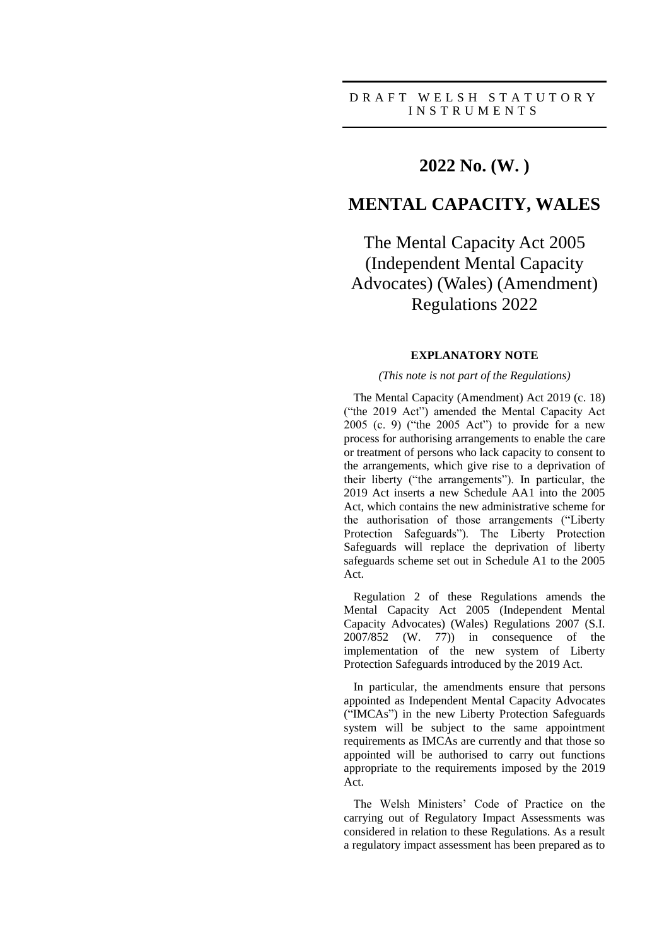## **2022 No. (W. )**

## **MENTAL CAPACITY, WALES**

The Mental Capacity Act 2005 (Independent Mental Capacity Advocates) (Wales) (Amendment) Regulations 2022

#### **EXPLANATORY NOTE**

#### *(This note is not part of the Regulations)*

The Mental Capacity (Amendment) Act 2019 (c. 18) ("the 2019 Act") amended the Mental Capacity Act  $2005$  (c. 9) ("the  $2005$  Act") to provide for a new process for authorising arrangements to enable the care or treatment of persons who lack capacity to consent to the arrangements, which give rise to a deprivation of their liberty ("the arrangements"). In particular, the 2019 Act inserts a new Schedule AA1 into the 2005 Act, which contains the new administrative scheme for the authorisation of those arrangements ("Liberty Protection Safeguards"). The Liberty Protection Safeguards will replace the deprivation of liberty safeguards scheme set out in Schedule A1 to the 2005 Act.

Regulation 2 of these Regulations amends the Mental Capacity Act 2005 (Independent Mental Capacity Advocates) (Wales) Regulations 2007 (S.I. 2007/852 (W. 77)) in consequence of the implementation of the new system of Liberty Protection Safeguards introduced by the 2019 Act.

In particular, the amendments ensure that persons appointed as Independent Mental Capacity Advocates ("IMCAs") in the new Liberty Protection Safeguards system will be subject to the same appointment requirements as IMCAs are currently and that those so appointed will be authorised to carry out functions appropriate to the requirements imposed by the 2019 Act.

The Welsh Ministers' Code of Practice on the carrying out of Regulatory Impact Assessments was considered in relation to these Regulations. As a result a regulatory impact assessment has been prepared as to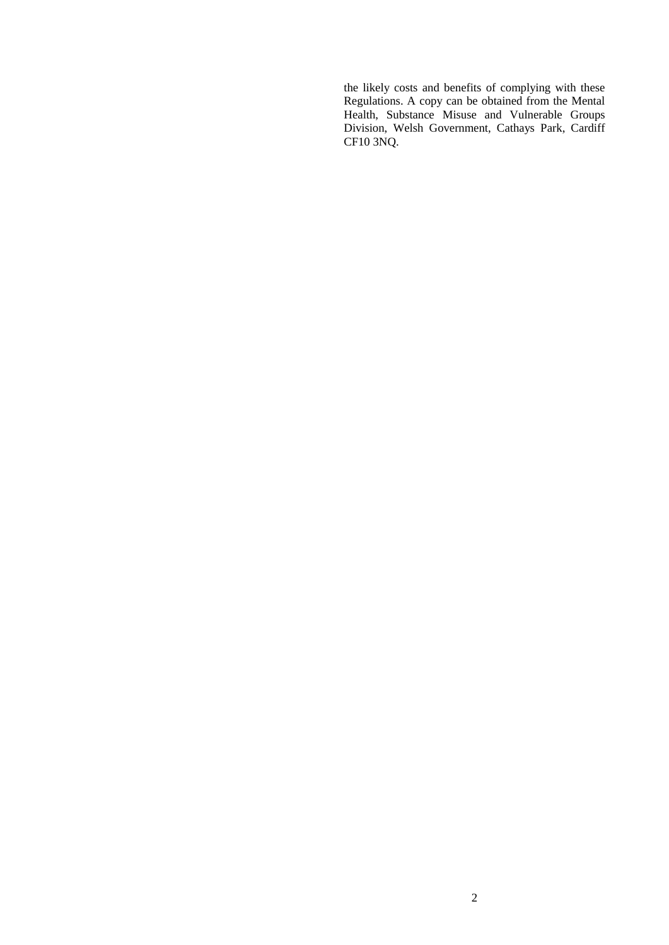the likely costs and benefits of complying with these Regulations. A copy can be obtained from the Mental Health, Substance Misuse and Vulnerable Groups Division, Welsh Government, Cathays Park, Cardiff CF10 3NQ.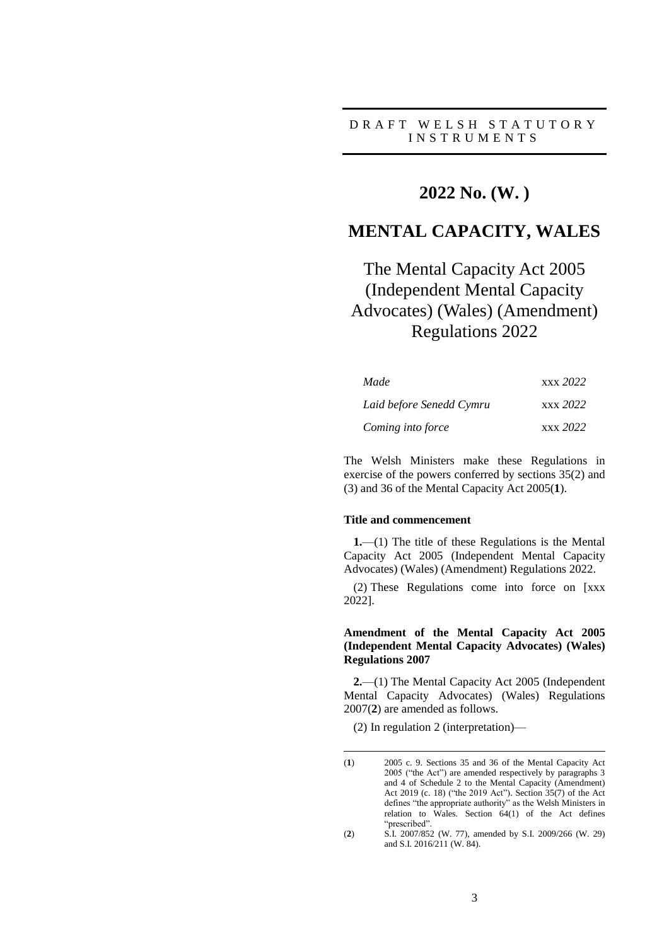### D R A F T W E L S H S T A T U T O R Y I N S T R U M E N T S

## **2022 No. (W. )**

## **MENTAL CAPACITY, WALES**

# The Mental Capacity Act 2005 (Independent Mental Capacity Advocates) (Wales) (Amendment) Regulations 2022

| Made<br>Laid before Senedd Cymru | xxx 2022 |  |
|----------------------------------|----------|--|
|                                  | xxx 2022 |  |
| Coming into force                | xxx 2022 |  |

The Welsh Ministers make these Regulations in exercise of the powers conferred by sections 35(2) and (3) and 36 of the Mental Capacity Act 2005(**1**).

#### **Title and commencement**

**1.**—(1) The title of these Regulations is the Mental Capacity Act 2005 (Independent Mental Capacity Advocates) (Wales) (Amendment) Regulations 2022.

(2) These Regulations come into force on [xxx 2022].

#### **Amendment of the Mental Capacity Act 2005 (Independent Mental Capacity Advocates) (Wales) Regulations 2007**

**2.**—(1) The Mental Capacity Act 2005 (Independent Mental Capacity Advocates) (Wales) Regulations 2007(**2**) are amended as follows.

(2) In regulation 2 (interpretation)—

<u>.</u>

<sup>(</sup>**1**) 2005 c. 9. Sections 35 and 36 of the Mental Capacity Act 2005 ("the Act") are amended respectively by paragraphs 3 and 4 of Schedule 2 to the Mental Capacity (Amendment) Act 2019 (c. 18) ("the 2019 Act"). Section 35(7) of the Act defines "the appropriate authority" as the Welsh Ministers in relation to Wales. Section 64(1) of the Act defines "prescribed".

<sup>(</sup>**2**) S.I. 2007/852 (W. 77), amended by S.I. 2009/266 (W. 29) and S.I. 2016/211 (W. 84).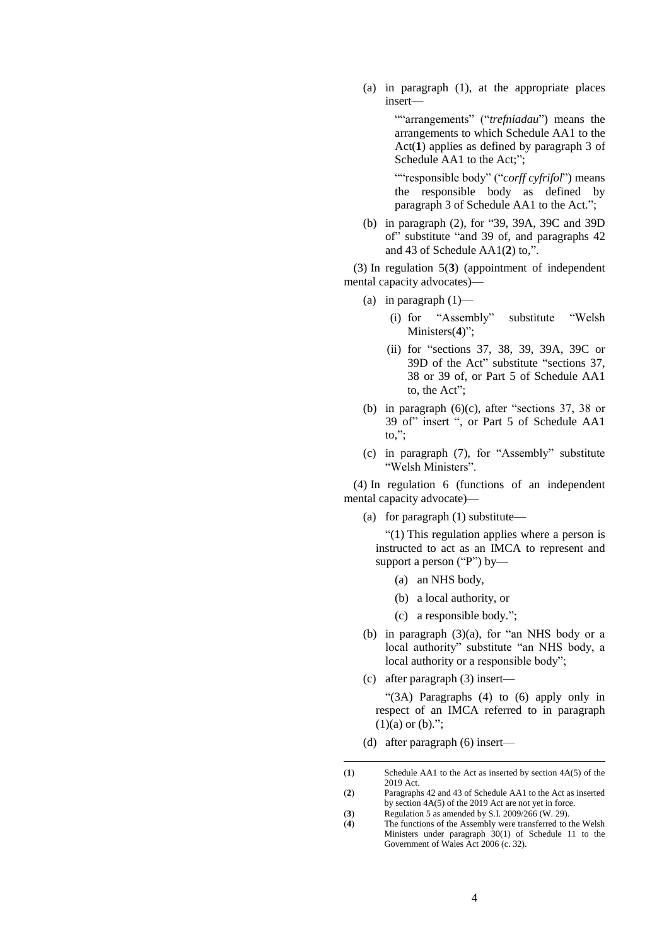(a) in paragraph (1), at the appropriate places insert—

> ""arrangements" ("*trefniadau*") means the arrangements to which Schedule AA1 to the Act(**1**) applies as defined by paragraph 3 of Schedule AA1 to the Act;";

> ""responsible body" ("*corff cyfrifol*") means the responsible body as defined by paragraph 3 of Schedule AA1 to the Act.";

(b) in paragraph (2), for "39, 39A, 39C and 39D of" substitute "and 39 of, and paragraphs 42 and 43 of Schedule AA1(**2**) to,".

(3) In regulation 5(**3**) (appointment of independent mental capacity advocates)—

- (a) in paragraph (1)—
	- (i) for "Assembly" substitute "Welsh Ministers(**4**)";
	- (ii) for "sections 37, 38, 39, 39A, 39C or 39D of the Act" substitute "sections 37, 38 or 39 of, or Part 5 of Schedule AA1 to, the Act";
- (b) in paragraph (6)(c), after "sections 37, 38 or 39 of" insert ", or Part 5 of Schedule AA1 to,";
- (c) in paragraph (7), for "Assembly" substitute "Welsh Ministers".

(4) In regulation 6 (functions of an independent mental capacity advocate)—

(a) for paragraph (1) substitute—

"(1) This regulation applies where a person is instructed to act as an IMCA to represent and support a person ("P") by—

- (a) an NHS body,
- (b) a local authority, or
- (c) a responsible body.";
- (b) in paragraph (3)(a), for "an NHS body or a local authority" substitute "an NHS body, a local authority or a responsible body";
- (c) after paragraph (3) insert—

"(3A) Paragraphs (4) to (6) apply only in respect of an IMCA referred to in paragraph  $(1)(a)$  or  $(b)$ .";

(d) after paragraph (6) insert—

<u>.</u>

<sup>(</sup>**1**) Schedule AA1 to the Act as inserted by section 4A(5) of the 2019 Act.

<sup>(</sup>**2**) Paragraphs 42 and 43 of Schedule AA1 to the Act as inserted by section 4A(5) of the 2019 Act are not yet in force.

<sup>(</sup>**3**) Regulation 5 as amended by S.I. 2009/266 (W. 29).

<sup>(</sup>**4**) The functions of the Assembly were transferred to the Welsh Ministers under paragraph 30(1) of Schedule 11 to the Government of Wales Act 2006 (c. 32).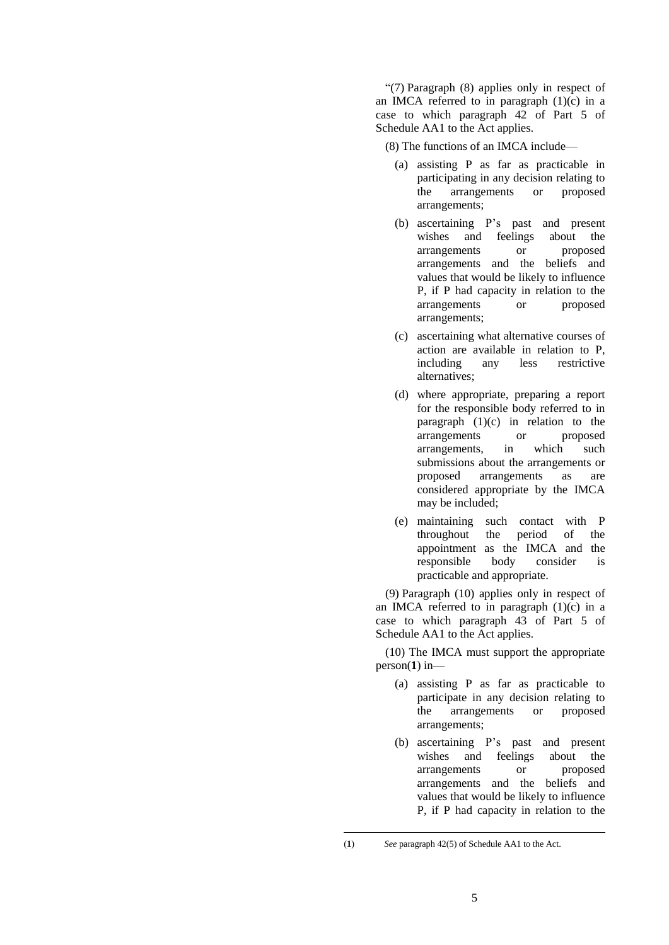"(7) Paragraph (8) applies only in respect of an IMCA referred to in paragraph  $(1)(c)$  in a case to which paragraph 42 of Part 5 of Schedule AA1 to the Act applies.

(8) The functions of an IMCA include—

- (a) assisting P as far as practicable in participating in any decision relating to the arrangements or proposed arrangements;
- (b) ascertaining P's past and present wishes and feelings about the arrangements or proposed arrangements and the beliefs and values that would be likely to influence P, if P had capacity in relation to the arrangements or proposed arrangements;
- (c) ascertaining what alternative courses of action are available in relation to P, including any less restrictive alternatives;
- (d) where appropriate, preparing a report for the responsible body referred to in paragraph (1)(c) in relation to the<br>arrangements or proposed arrangements or arrangements, in which such submissions about the arrangements or proposed arrangements as are considered appropriate by the IMCA may be included;
- (e) maintaining such contact with P throughout the period of the appointment as the IMCA and the responsible body consider is practicable and appropriate.

(9) Paragraph (10) applies only in respect of an IMCA referred to in paragraph  $(1)(c)$  in a case to which paragraph 43 of Part 5 of Schedule AA1 to the Act applies.

(10) The IMCA must support the appropriate person(**1**) in—

- (a) assisting P as far as practicable to participate in any decision relating to the arrangements or proposed arrangements;
- (b) ascertaining P's past and present wishes and feelings about the arrangements or proposed arrangements and the beliefs and values that would be likely to influence P, if P had capacity in relation to the

<u>.</u>

<sup>(</sup>**1**) *See* paragraph 42(5) of Schedule AA1 to the Act.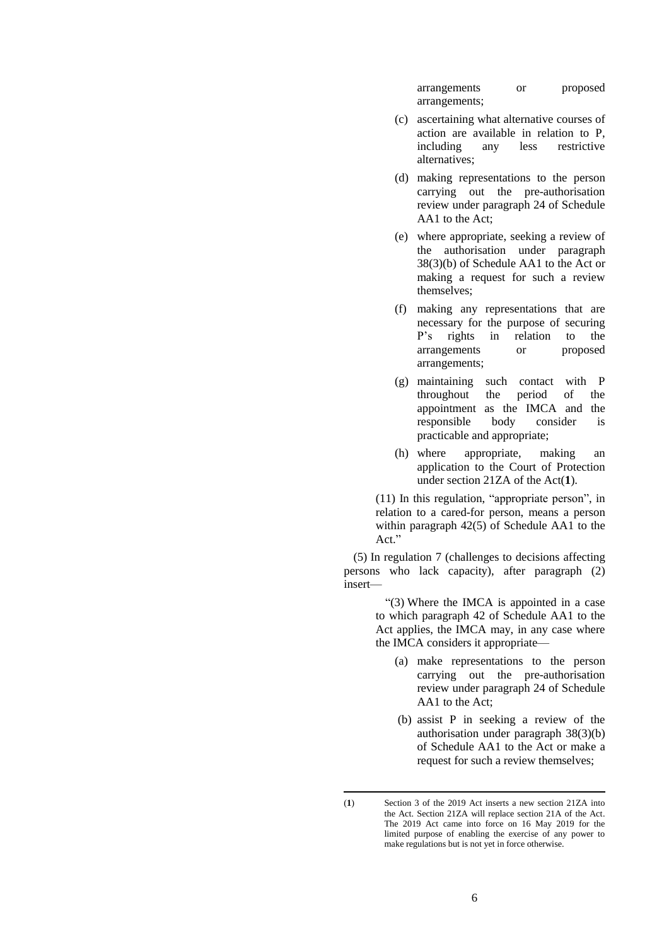arrangements or proposed arrangements;

- (c) ascertaining what alternative courses of action are available in relation to P,<br>including any less restrictive including any alternatives;
- (d) making representations to the person carrying out the pre-authorisation review under paragraph 24 of Schedule AA1 to the Act;
- (e) where appropriate, seeking a review of the authorisation under paragraph 38(3)(b) of Schedule AA1 to the Act or making a request for such a review themselves;
- (f) making any representations that are necessary for the purpose of securing P's rights in relation to the arrangements or proposed arrangements;
- (g) maintaining such contact with P throughout the period of the appointment as the IMCA and the responsible body consider is practicable and appropriate;
- (h) where appropriate, making an application to the Court of Protection under section 21ZA of the Act(**1**).

(11) In this regulation, "appropriate person", in relation to a cared-for person, means a person within paragraph 42(5) of Schedule AA1 to the Act."

(5) In regulation 7 (challenges to decisions affecting persons who lack capacity), after paragraph (2) insert—

> "(3) Where the IMCA is appointed in a case to which paragraph 42 of Schedule AA1 to the Act applies, the IMCA may, in any case where the IMCA considers it appropriate—

- (a) make representations to the person carrying out the pre-authorisation review under paragraph 24 of Schedule AA1 to the Act;
- (b) assist P in seeking a review of the authorisation under paragraph 38(3)(b) of Schedule AA1 to the Act or make a request for such a review themselves;

<sup>&</sup>lt;u>.</u>

<sup>(</sup>**1**) Section 3 of the 2019 Act inserts a new section 21ZA into the Act. Section 21ZA will replace section 21A of the Act. The 2019 Act came into force on 16 May 2019 for the limited purpose of enabling the exercise of any power to make regulations but is not yet in force otherwise.